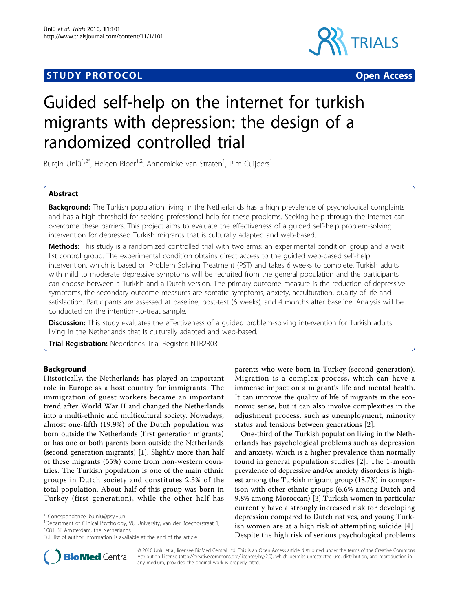## **STUDY PROTOCOL CONSUMING THE CONSUMING OPEN ACCESS**



# Guided self-help on the internet for turkish migrants with depression: the design of a randomized controlled trial

Burçin Ünlü<sup>1,2\*</sup>, Heleen Riper<sup>1,2</sup>, Annemieke van Straten<sup>1</sup>, Pim Cuijpers<sup>1</sup>

## Abstract

**Background:** The Turkish population living in the Netherlands has a high prevalence of psychological complaints and has a high threshold for seeking professional help for these problems. Seeking help through the Internet can overcome these barriers. This project aims to evaluate the effectiveness of a guided self-help problem-solving intervention for depressed Turkish migrants that is culturally adapted and web-based.

Methods: This study is a randomized controlled trial with two arms: an experimental condition group and a wait list control group. The experimental condition obtains direct access to the guided web-based self-help intervention, which is based on Problem Solving Treatment (PST) and takes 6 weeks to complete. Turkish adults with mild to moderate depressive symptoms will be recruited from the general population and the participants can choose between a Turkish and a Dutch version. The primary outcome measure is the reduction of depressive symptoms, the secondary outcome measures are somatic symptoms, anxiety, acculturation, quality of life and satisfaction. Participants are assessed at baseline, post-test (6 weeks), and 4 months after baseline. Analysis will be conducted on the intention-to-treat sample.

**Discussion:** This study evaluates the effectiveness of a guided problem-solving intervention for Turkish adults living in the Netherlands that is culturally adapted and web-based.

**Trial Registration: Nederlands Trial Register: NTR2303** 

## Background

Historically, the Netherlands has played an important role in Europe as a host country for immigrants. The immigration of guest workers became an important trend after World War II and changed the Netherlands into a multi-ethnic and multicultural society. Nowadays, almost one-fifth (19.9%) of the Dutch population was born outside the Netherlands (first generation migrants) or has one or both parents born outside the Netherlands (second generation migrants) [[1\]](#page-5-0). Slightly more than half of these migrants (55%) come from non-western countries. The Turkish population is one of the main ethnic groups in Dutch society and constitutes 2.3% of the total population. About half of this group was born in Turkey (first generation), while the other half has

<sup>1</sup>Department of Clinical Psychology, VU University, van der Boechorstraat 1, 1081 BT Amsterdam, the Netherlands



One-third of the Turkish population living in the Netherlands has psychological problems such as depression and anxiety, which is a higher prevalence than normally found in general population studies [[2\]](#page-5-0). The 1-month prevalence of depressive and/or anxiety disorders is highest among the Turkish migrant group (18.7%) in comparison with other ethnic groups (6.6% among Dutch and 9.8% among Moroccan) [[3\]](#page-5-0).Turkish women in particular currently have a strongly increased risk for developing depression compared to Dutch natives, and young Turkish women are at a high risk of attempting suicide [[4\]](#page-5-0). Despite the high risk of serious psychological problems



© 2010 Ünlü et al; licensee BioMed Central Ltd. This is an Open Access article distributed under the terms of the Creative Commons Attribution License [\(http://creativecommons.org/licenses/by/2.0](http://creativecommons.org/licenses/by/2.0)), which permits unrestricted use, distribution, and reproduction in any medium, provided the original work is properly cited.

<sup>\*</sup> Correspondence: [b.unlu@psy.vu.nl](mailto:b.unlu@psy.vu.nl)

Full list of author information is available at the end of the article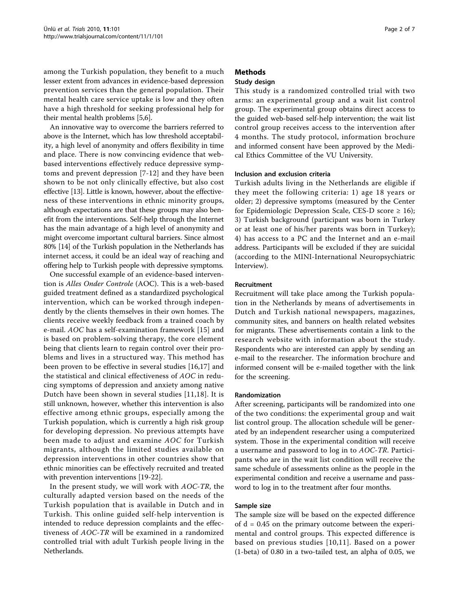among the Turkish population, they benefit to a much lesser extent from advances in evidence-based depression prevention services than the general population. Their mental health care service uptake is low and they often have a high threshold for seeking professional help for their mental health problems [[5](#page-5-0),[6](#page-5-0)].

An innovative way to overcome the barriers referred to above is the Internet, which has low threshold acceptability, a high level of anonymity and offers flexibility in time and place. There is now convincing evidence that webbased interventions effectively reduce depressive symptoms and prevent depression [[7-12](#page-5-0)] and they have been shown to be not only clinically effective, but also cost effective [[13](#page-5-0)]. Little is known, however, about the effectiveness of these interventions in ethnic minority groups, although expectations are that these groups may also benefit from the interventions. Self-help through the Internet has the main advantage of a high level of anonymity and might overcome important cultural barriers. Since almost 80% [[14](#page-5-0)] of the Turkish population in the Netherlands has internet access, it could be an ideal way of reaching and offering help to Turkish people with depressive symptoms.

One successful example of an evidence-based intervention is Alles Onder Controle (AOC). This is a web-based guided treatment defined as a standardized psychological intervention, which can be worked through independently by the clients themselves in their own homes. The clients receive weekly feedback from a trained coach by e-mail. AOC has a self-examination framework [[15](#page-5-0)] and is based on problem-solving therapy, the core element being that clients learn to regain control over their problems and lives in a structured way. This method has been proven to be effective in several studies [\[16,17](#page-5-0)] and the statistical and clinical effectiveness of AOC in reducing symptoms of depression and anxiety among native Dutch have been shown in several studies [\[11,18](#page-5-0)]. It is still unknown, however, whether this intervention is also effective among ethnic groups, especially among the Turkish population, which is currently a high risk group for developing depression. No previous attempts have been made to adjust and examine AOC for Turkish migrants, although the limited studies available on depression interventions in other countries show that ethnic minorities can be effectively recruited and treated with prevention interventions [[19-22\]](#page-5-0).

In the present study, we will work with AOC-TR, the culturally adapted version based on the needs of the Turkish population that is available in Dutch and in Turkish. This online guided self-help intervention is intended to reduce depression complaints and the effectiveness of AOC-TR will be examined in a randomized controlled trial with adult Turkish people living in the Netherlands.

## Methods

## Study design

This study is a randomized controlled trial with two arms: an experimental group and a wait list control group. The experimental group obtains direct access to the guided web-based self-help intervention; the wait list control group receives access to the intervention after 4 months. The study protocol, information brochure and informed consent have been approved by the Medical Ethics Committee of the VU University.

## Inclusion and exclusion criteria

Turkish adults living in the Netherlands are eligible if they meet the following criteria: 1) age 18 years or older; 2) depressive symptoms (measured by the Center for Epidemiologic Depression Scale, CES-D score  $\geq$  16); 3) Turkish background (participant was born in Turkey or at least one of his/her parents was born in Turkey); 4) has access to a PC and the Internet and an e-mail address. Participants will be excluded if they are suicidal (according to the MINI-International Neuropsychiatric Interview).

## Recruitment

Recruitment will take place among the Turkish population in the Netherlands by means of advertisements in Dutch and Turkish national newspapers, magazines, community sites, and banners on health related websites for migrants. These advertisements contain a link to the research website with information about the study. Respondents who are interested can apply by sending an e-mail to the researcher. The information brochure and informed consent will be e-mailed together with the link for the screening.

## Randomization

After screening, participants will be randomized into one of the two conditions: the experimental group and wait list control group. The allocation schedule will be generated by an independent researcher using a computerized system. Those in the experimental condition will receive a username and password to log in to AOC-TR. Participants who are in the wait list condition will receive the same schedule of assessments online as the people in the experimental condition and receive a username and password to log in to the treatment after four months.

## Sample size

The sample size will be based on the expected difference of  $d = 0.45$  on the primary outcome between the experimental and control groups. This expected difference is based on previous studies [[10](#page-5-0),[11](#page-5-0)]. Based on a power (1-beta) of 0.80 in a two-tailed test, an alpha of 0.05, we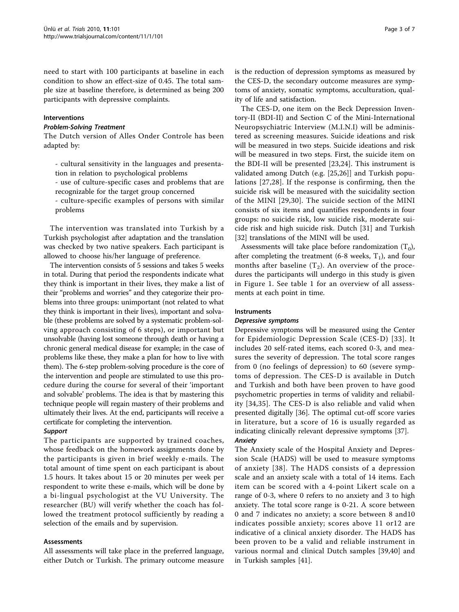need to start with 100 participants at baseline in each condition to show an effect-size of 0.45. The total sample size at baseline therefore, is determined as being 200 participants with depressive complaints.

#### Interventions

#### Problem-Solving Treatment

The Dutch version of Alles Onder Controle has been adapted by:

- cultural sensitivity in the languages and presentation in relation to psychological problems

- use of culture-specific cases and problems that are recognizable for the target group concerned

- culture-specific examples of persons with similar problems

The intervention was translated into Turkish by a Turkish psychologist after adaptation and the translation was checked by two native speakers. Each participant is allowed to choose his/her language of preference.

The intervention consists of 5 sessions and takes 5 weeks in total. During that period the respondents indicate what they think is important in their lives, they make a list of their "problems and worries" and they categorize their problems into three groups: unimportant (not related to what they think is important in their lives), important and solvable (these problems are solved by a systematic problem-solving approach consisting of 6 steps), or important but unsolvable (having lost someone through death or having a chronic general medical disease for example; in the case of problems like these, they make a plan for how to live with them). The 6-step problem-solving procedure is the core of the intervention and people are stimulated to use this procedure during the course for several of their 'important and solvable' problems. The idea is that by mastering this technique people will regain mastery of their problems and ultimately their lives. At the end, participants will receive a certificate for completing the intervention.

#### Support

The participants are supported by trained coaches, whose feedback on the homework assignments done by the participants is given in brief weekly e-mails. The total amount of time spent on each participant is about 1.5 hours. It takes about 15 or 20 minutes per week per respondent to write these e-mails, which will be done by a bi-lingual psychologist at the VU University. The researcher (BU) will verify whether the coach has followed the treatment protocol sufficiently by reading a selection of the emails and by supervision.

#### Assessments

All assessments will take place in the preferred language, either Dutch or Turkish. The primary outcome measure is the reduction of depression symptoms as measured by the CES-D, the secondary outcome measures are symptoms of anxiety, somatic symptoms, acculturation, quality of life and satisfaction.

The CES-D, one item on the Beck Depression Inventory-II (BDI-II) and Section C of the Mini-International Neuropsychiatric Interview (M.I.N.I) will be administered as screening measures. Suicide ideations and risk will be measured in two steps. Suicide ideations and risk will be measured in two steps. First, the suicide item on the BDI-II will be presented [[23,24](#page-5-0)]. This instrument is validated among Dutch (e.g. [\[25,26](#page-5-0)]] and Turkish populations [[27](#page-5-0),[28\]](#page-5-0). If the response is confirming, then the suicide risk will be measured with the suicidality section of the MINI [[29](#page-6-0),[30\]](#page-6-0). The suicide section of the MINI consists of six items and quantifies respondents in four groups: no suicide risk, low suicide risk, moderate suicide risk and high suicide risk. Dutch [\[31](#page-6-0)] and Turkish [[32\]](#page-6-0) translations of the MINI will be used.

Assessments will take place before randomization  $(T_0)$ , after completing the treatment (6-8 weeks,  $T_1$ ), and four months after baseline  $(T_2)$ . An overview of the procedures the participants will undergo in this study is given in Figure [1](#page-3-0). See table [1](#page-4-0) for an overview of all assessments at each point in time.

#### Instruments

#### Depressive symptoms

Depressive symptoms will be measured using the Center for Epidemiologic Depression Scale (CES-D) [[33](#page-6-0)]. It includes 20 self-rated items, each scored 0-3, and measures the severity of depression. The total score ranges from 0 (no feelings of depression) to 60 (severe symptoms of depression. The CES-D is available in Dutch and Turkish and both have been proven to have good psychometric properties in terms of validity and reliability [\[34,35](#page-6-0)]. The CES-D is also reliable and valid when presented digitally [[36\]](#page-6-0). The optimal cut-off score varies in literature, but a score of 16 is usually regarded as indicating clinically relevant depressive symptoms [[37](#page-6-0)].

#### Anxiety

The Anxiety scale of the Hospital Anxiety and Depression Scale (HADS) will be used to measure symptoms of anxiety [[38](#page-6-0)]. The HADS consists of a depression scale and an anxiety scale with a total of 14 items. Each item can be scored with a 4-point Likert scale on a range of 0-3, where 0 refers to no anxiety and 3 to high anxiety. The total score range is 0-21. A score between 0 and 7 indicates no anxiety; a score between 8 and10 indicates possible anxiety; scores above 11 or12 are indicative of a clinical anxiety disorder. The HADS has been proven to be a valid and reliable instrument in various normal and clinical Dutch samples [[39,40](#page-6-0)] and in Turkish samples [\[41\]](#page-6-0).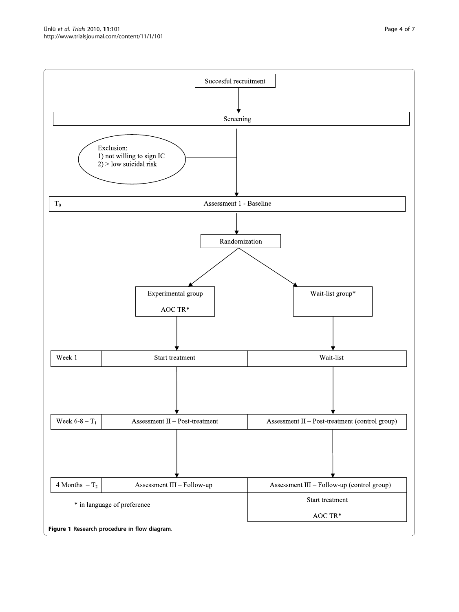<span id="page-3-0"></span>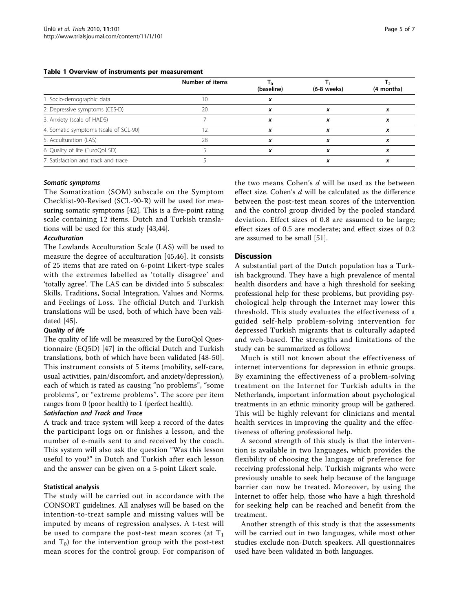#### <span id="page-4-0"></span>Table 1 Overview of instruments per measurement

|                                       | Number of items | (baseline) | $(6-8$ weeks) | (4 months) |
|---------------------------------------|-----------------|------------|---------------|------------|
| 1. Socio-demographic data             | 10              |            |               |            |
| 2. Depressive symptoms (CES-D)        | 20              |            |               |            |
| 3. Anxiety (scale of HADS)            |                 |            |               |            |
| 4. Somatic symptoms (scale of SCL-90) |                 |            |               |            |
| 5. Acculturation (LAS)                | 28              | x          |               |            |
| 6. Quality of life (EuroQol 5D)       |                 |            |               |            |
| 7. Satisfaction and track and trace   |                 |            |               |            |

#### Somatic symptoms

The Somatization (SOM) subscale on the Symptom Checklist-90-Revised (SCL-90-R) will be used for measuring somatic symptoms [[42\]](#page-6-0). This is a five-point rating scale containing 12 items. Dutch and Turkish translations will be used for this study [\[43,44\]](#page-6-0).

## Acculturation

The Lowlands Acculturation Scale (LAS) will be used to measure the degree of acculturation [\[45](#page-6-0),[46\]](#page-6-0). It consists of 25 items that are rated on 6-point Likert-type scales with the extremes labelled as 'totally disagree' and 'totally agree'. The LAS can be divided into 5 subscales: Skills, Traditions, Social Integration, Values and Norms, and Feelings of Loss. The official Dutch and Turkish translations will be used, both of which have been validated [\[45](#page-6-0)].

## Quality of life

The quality of life will be measured by the EuroQol Questionnaire (EQ5D) [[47\]](#page-6-0) in the official Dutch and Turkish translations, both of which have been validated [\[48](#page-6-0)-[50](#page-6-0)]. This instrument consists of 5 items (mobility, self-care, usual activities, pain/discomfort, and anxiety/depression), each of which is rated as causing "no problems", "some problems", or "extreme problems". The score per item ranges from 0 (poor health) to 1 (perfect health).

## Satisfaction and Track and Trace

A track and trace system will keep a record of the dates the participant logs on or finishes a lesson, and the number of e-mails sent to and received by the coach. This system will also ask the question "Was this lesson useful to you?" in Dutch and Turkish after each lesson and the answer can be given on a 5-point Likert scale.

## Statistical analysis

The study will be carried out in accordance with the CONSORT guidelines. All analyses will be based on the intention-to-treat sample and missing values will be imputed by means of regression analyses. A t-test will be used to compare the post-test mean scores (at  $T_1$ ) and  $T_0$ ) for the intervention group with the post-test mean scores for the control group. For comparison of the two means Cohen's d will be used as the between effect size. Cohen's d will be calculated as the difference between the post-test mean scores of the intervention and the control group divided by the pooled standard deviation. Effect sizes of 0.8 are assumed to be large; effect sizes of 0.5 are moderate; and effect sizes of 0.2 are assumed to be small [\[51](#page-6-0)].

## **Discussion**

A substantial part of the Dutch population has a Turkish background. They have a high prevalence of mental health disorders and have a high threshold for seeking professional help for these problems, but providing psychological help through the Internet may lower this threshold. This study evaluates the effectiveness of a guided self-help problem-solving intervention for depressed Turkish migrants that is culturally adapted and web-based. The strengths and limitations of the study can be summarized as follows:

Much is still not known about the effectiveness of internet interventions for depression in ethnic groups. By examining the effectiveness of a problem-solving treatment on the Internet for Turkish adults in the Netherlands, important information about psychological treatments in an ethnic minority group will be gathered. This will be highly relevant for clinicians and mental health services in improving the quality and the effectiveness of offering professional help.

A second strength of this study is that the intervention is available in two languages, which provides the flexibility of choosing the language of preference for receiving professional help. Turkish migrants who were previously unable to seek help because of the language barrier can now be treated. Moreover, by using the Internet to offer help, those who have a high threshold for seeking help can be reached and benefit from the treatment.

Another strength of this study is that the assessments will be carried out in two languages, while most other studies exclude non-Dutch speakers. All questionnaires used have been validated in both languages.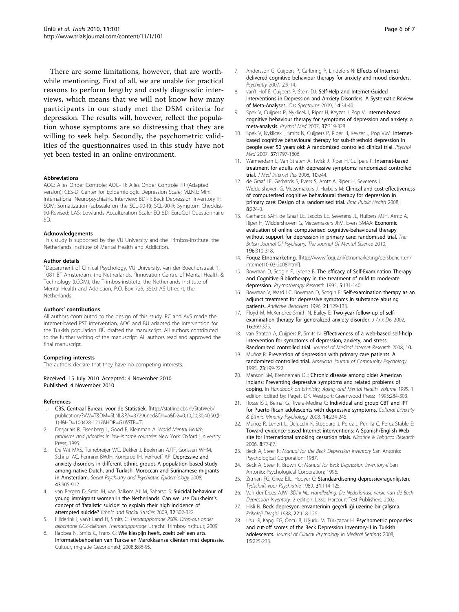<span id="page-5-0"></span>There are some limitations, however, that are worthwhile mentioning. First of all, we are unable for practical reasons to perform lengthy and costly diagnostic interviews, which means that we will not know how many participants in our study met the DSM criteria for depression. The results will, however, reflect the population whose symptoms are so distressing that they are willing to seek help. Secondly, the psychometric validities of the questionnaires used in this study have not yet been tested in an online environment.

#### Abbreviations

AOC: Alles Onder Controle; AOC-TR: Alles Onder Controle TR (Adapted version); CES-D: Center for Epidemiologic Depression Scale; M.I.N.I.: Mini International Neuropsychiatric Interview; BDI-II: Beck Depression Inventory II; SOM: Somatization (subscale on the SCL-90-R); SCL-90-R: Symptom Checklist-90-Revised; LAS: Lowlands Acculturation Scale; EQ 5D: EuroQol Questionnaire 5D.

#### Acknowledgements

This study is supported by the VU University and the Trimbos-institute, the Netherlands Institute of Mental Health and Addiction.

#### Author details

<sup>1</sup>Department of Clinical Psychology, VU University, van der Boechorstraat 1, 1081 BT Amsterdam, the Netherlands. <sup>2</sup>Innovation Centre of Mental Health & Technology (I.COM), the Trimbos-institute, the Netherlands Institute of Mental Health and Addiction, P.O. Box 725, 3500 AS Utrecht, the Netherlands.

#### Authors' contributions

All authors contributed to the design of this study. PC and AvS made the Internet-based PST intervention, AOC and BÜ adapted the intervention for the Turkish population. BÜ drafted the manuscript. All authors contributed to the further writing of the manuscript. All authors read and approved the final manuscript.

#### Competing interests

The authors declare that they have no competing interests.

#### Received: 15 July 2010 Accepted: 4 November 2010 Published: 4 November 2010

#### References

- 1. CBS, Centraal Bureau voor de Statistiek. [[http://statline.cbs.nl/StatWeb/](http://statline.cbs.nl/StatWeb/publication/?VW=T&DM=SLNL&PA=37296ned&D1=a&D2=0,10,20,30,40,50,(l-1)-l&HD=100428-1217&HDR=G1&STB=T) [publication/?VW=T&DM=SLNL&PA=37296ned&D1=a&D2=0,10,20,30,40,50,\(l-](http://statline.cbs.nl/StatWeb/publication/?VW=T&DM=SLNL&PA=37296ned&D1=a&D2=0,10,20,30,40,50,(l-1)-l&HD=100428-1217&HDR=G1&STB=T)[1\)-l&HD=100428-1217&HDR=G1&STB=T\]](http://statline.cbs.nl/StatWeb/publication/?VW=T&DM=SLNL&PA=37296ned&D1=a&D2=0,10,20,30,40,50,(l-1)-l&HD=100428-1217&HDR=G1&STB=T).
- 2. Desjarlais R, Eisenberg L, Good B, Kleinman A: World Mental Health, problems and priorities in low-income countries New York: Oxford University Press; 1995.
- 3. De Wit MAS, Tuinebreijer WC, Dekker J, Beekman AJTF, Gorissen WHM, Schrier AC, Penninx BWJH, Komproe IH, Verhoeff AP: [Depressive and](http://www.ncbi.nlm.nih.gov/pubmed/18587679?dopt=Abstract) [anxiety disorders in different ethnic groups A population based study](http://www.ncbi.nlm.nih.gov/pubmed/18587679?dopt=Abstract) [among native Dutch, and Turkish, Moroccan and Surinamese migrants](http://www.ncbi.nlm.nih.gov/pubmed/18587679?dopt=Abstract) [in Amsterdam.](http://www.ncbi.nlm.nih.gov/pubmed/18587679?dopt=Abstract) Social Psychiatry and Psychiatric Epidemiology 2008, 43:905-912.
- 4. van Bergen D, Smit JH, van Balkom AJLM, Saharso S: Suicidal behaviour of young immigrant women in the Netherlands. Can we use Durkheim's concept of 'fatalistic suicide' to explain their high incidence of attempted suicide? Ethnic and Racial Studies 2009, 32:302-322.
- 5. Hilderink I, van't Land H, Smits C: Trendrapportage 2009. Drop-out onder allochtone GGZ-cliënten. Themarapportage Utrecht: Trimbos-instituut; 2009.
- 6. Rabbea N, Smits C, Franx G: Wie kiespijn heeft, zoekt zelf een arts. Informatiebehoeften van Turkse en Marokkaanse cliënten met depressie. Cultuur, migratie Gezondheid; 2008:5:86-95.
- 7. Andersson G, Cuijpers P, Carlbring P, Lindefors N: Effects of Internetdelivered cognitive behaviour therapy for anxiety and mood disorders. Psychiatry 2007, 2:9-14.
- 8. van't Hof E, Cuijpers P, Stein DJ: [Self-Help and Internet-Guided](http://www.ncbi.nlm.nih.gov/pubmed/19238128?dopt=Abstract) [Interventions in Depression and Anxiety Disorders: A Systematic Review](http://www.ncbi.nlm.nih.gov/pubmed/19238128?dopt=Abstract) [of Meta-Analyses.](http://www.ncbi.nlm.nih.gov/pubmed/19238128?dopt=Abstract) Cns Spectrums 2009, 14:34-40.
- Spek V, Cuijpers P, Nyklicek I, Riper H, Keyzer J, Pop V: [Internet-based](http://www.ncbi.nlm.nih.gov/pubmed/17112400?dopt=Abstract) [cognitive behaviour therapy for symptoms of depression and anxiety: a](http://www.ncbi.nlm.nih.gov/pubmed/17112400?dopt=Abstract) [meta-analysis.](http://www.ncbi.nlm.nih.gov/pubmed/17112400?dopt=Abstract) Psychol Med 2007, 37:319-328.
- 10. Spek V, Nyklicek I, Smits N, Cuijpers P, Riper H, Keyzer J, Pop VJM: [Internet](http://www.ncbi.nlm.nih.gov/pubmed/17466110?dopt=Abstract)[based cognitive behavioural therapy for sub-threshold depression in](http://www.ncbi.nlm.nih.gov/pubmed/17466110?dopt=Abstract) [people over 50 years old: A randomized controlled clinical trial.](http://www.ncbi.nlm.nih.gov/pubmed/17466110?dopt=Abstract) Psychol Med 2007, 37:1797-1806.
- 11. Warmerdam L, Van Straten A, Twisk J, Riper H, Cuijpers P: [Internet-based](http://www.ncbi.nlm.nih.gov/pubmed/19033149?dopt=Abstract) [treatment for adults with depressive symptoms: randomized controlled](http://www.ncbi.nlm.nih.gov/pubmed/19033149?dopt=Abstract) [trial.](http://www.ncbi.nlm.nih.gov/pubmed/19033149?dopt=Abstract) J Med Internet Res 2008, 10:e44.
- 12. de Graaf LE, Gerhards S, Evers S, Arntz A, Riper H, Severens J, Widdershoven G, Metsemakers J, Huibers M: [Clinical and cost-effectiveness](http://www.ncbi.nlm.nih.gov/pubmed/18590518?dopt=Abstract) [of computerised cognitive behavioural therapy for depression in](http://www.ncbi.nlm.nih.gov/pubmed/18590518?dopt=Abstract) [primary care: Design of a randomised trial.](http://www.ncbi.nlm.nih.gov/pubmed/18590518?dopt=Abstract) Bmc Public Health 2008, 8:224-0.
- 13. Gerhards SAH, de Graaf LE, Jacobs LE, Severens JL, Huibers MJH, Arntz A, Riper H, Widdershoven G, Metsemakers JFM, Evers SMAA: [Economic](http://www.ncbi.nlm.nih.gov/pubmed/20357309?dopt=Abstract) [evaluation of online computerised cognitive-behavioural therapy](http://www.ncbi.nlm.nih.gov/pubmed/20357309?dopt=Abstract) [without support for depression in primary care: randomised trial.](http://www.ncbi.nlm.nih.gov/pubmed/20357309?dopt=Abstract) The British Journal Of Psychiatry: The Journal Of Mental Science 2010, 196:310-318.
- 14. Foquz Etnomarketing. [\[http://www.foquz.nl/etnomarketing/persberichten/](http://www.foquz.nl/etnomarketing/persberichten/internet10-03-2008.html) [internet10-03-2008.html](http://www.foquz.nl/etnomarketing/persberichten/internet10-03-2008.html)].
- 15. Bowman D, Scogin F, Lyrene B: The efficacy of Self-Examination Therapy and Cognitive Bibliotherapy in the treatment of mild to moderate depression. Psychotherapy Research 1995, 5:131-140.
- 16. Bowman V, Ward LC, Bowman D, Scogin F: [Self-examination therapy as an](http://www.ncbi.nlm.nih.gov/pubmed/8729714?dopt=Abstract) [adjunct treatment for depressive symptoms in substance abusing](http://www.ncbi.nlm.nih.gov/pubmed/8729714?dopt=Abstract) [patients.](http://www.ncbi.nlm.nih.gov/pubmed/8729714?dopt=Abstract) Addictive Behaviors 1996, 21:129-133.
- 17. Floyd M, McKendree-Smith N, Bailey E: Two-year follow-up of selfexamination therapy for generalized anxiety disorder. J Anx Dis 2002, 16:369-375.
- 18. van Straten A, Cuijpers P, Smits N: Effectiveness of a web-based self-help intervention for symptoms of depression, anxiety, and stress: Randomized controlled trial. Journal of Medical Internet Research 2008, 10.
- 19. Muñoz R: [Prevention of depression with primary care patients: A](http://www.ncbi.nlm.nih.gov/pubmed/7572830?dopt=Abstract) [randomized controlled trial.](http://www.ncbi.nlm.nih.gov/pubmed/7572830?dopt=Abstract) American Journal of Community Psychology 1995, 23:199-222.
- 20. Manson SM, Brenneman DL: Chronic disease among older American Indians: Preventing depressive symptoms and related problems of coping. In Handbook on Ethnicity, Aging, and Mental Health. Volume 1995. 1 edition. Edited by: Pagett DK. Westport: Greenwood Press; 1995:284-303.
- 21. Rosselló J, Bernal G, Rivera-Medina C: Individual and group CBT and IPT for Puerto Rican adolescents with depressive symptoms. Cultural Diversity & Ethnic Minority Psychology 2008, 14:234-245.
- 22. Muñoz R, Lenert L, Delucchi K, Stoddard J, Perez J, Penilla C, Perez-Stable E: Toward evidence-based Internet interventions: A Spanish/English Web site for international smoking cessation trials. Nicotine & Tobacco Research 2006, 8:77-87.
- 23. Beck A, Steer R: Manual for the Beck Depression Inventory San Antonio: Psychological Corporation; 1987.
- 24. Beck A, Steer R, Brown G: Manual for Beck Depression Inventory-II San Antonio: Psychological Corporation; 1996.
- 25. Zitman FG, Griez EJL, Hooyer C: Standaardisering depressievragenlijsten. Tijdschrift voor Psychiatrie 1989, 31:114-125.
- 26. Van der Does AJW: BDI-II-NL. Handleiding. De Nederlandse versie van de Beck Depression Inventory. 2 edition. Lisse: Harcourt Test Publishers; 2002.
- 27. Hisli N: Beck depresyon envanterinin geçerliliği üzerine bir çalışma. Psikoloji Dergisi 1988, 22:118-126.
- 28. Uslu R, Kapçı EG, Öncü B, Uğurlu M, Türkçapar H: [Psychometric properties](http://www.ncbi.nlm.nih.gov/pubmed/19104967?dopt=Abstract) [and cut-off scores of the Beck Depression Inventory-II in Turkish](http://www.ncbi.nlm.nih.gov/pubmed/19104967?dopt=Abstract) [adolescents.](http://www.ncbi.nlm.nih.gov/pubmed/19104967?dopt=Abstract) Journal of Clinical Psychology in Medical Settings 2008, 15:225-233.